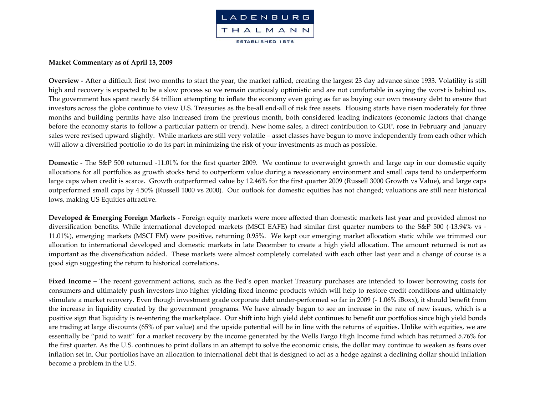

## **Market Commentary as of April 13, <sup>2009</sup>**

**Overview ‐** After a difficult first two months to start the year, the market rallied, creating the largest 23 day advance since 1933. Volatility is still high and recovery is expected to be <sup>a</sup> slow process so we remain cautiously optimistic and are not comfortable in saying the worst is behind us. The governmen<sup>t</sup> has spen<sup>t</sup> nearly \$4 trillion attempting to inflate the economy even going as far as buying our own treasury debt to ensure that investors across the globe continue to view U.S. Treasuries as the be‐all end‐all of risk free assets. Housing starts have risen moderately for three months and building permits have also increased from the previous month, both considered leading indicators (economic factors that change before the economy starts to follow <sup>a</sup> particular pattern or trend). New home sales, <sup>a</sup> direct contribution to GDP, rose in February and January sales were revised upward slightly. While markets are still very volatile – asset classes have begun to move independently from each other which will allow <sup>a</sup> diversified portfolio to do its par<sup>t</sup> in minimizing the risk of your investments as much as possible.

**Domestic** - The S&P 500 returned -11.01% for the first quarter 2009. We continue to overweight growth and large cap in our domestic equity allocations for all portfolios as growth stocks tend to outperform value during <sup>a</sup> recessionary environment and small caps tend to underperform large caps when credit is scarce. Growth outperformed value by 12.46% for the first quarter 2009 (Russell 3000 Growth vs Value), and large caps outperformed small caps by 4.50% (Russell 1000 vs 2000). Our outlook for domestic equities has not changed; valuations are still near historical lows, making US Equities attractive.

**Developed & Emerging Foreign Markets ‐** Foreign equity markets were more affected than domestic markets last year and provided almost no diversification benefits. While international developed markets (MSCI EAFE) had similar first quarter numbers to the S&P 500 (‐13.94% vs ‐ 11.01%), emerging markets (MSCI EM) were positive, returning 0.95%. We kept our emerging market allocation static while we trimmed our allocation to international developed and domestic markets in late December to create <sup>a</sup> high yield allocation. The amount returned is not as important as the diversification added. These markets were almost completely correlated with each other last year and <sup>a</sup> change of course is <sup>a</sup> good sign suggesting the return to historical correlations.

**Fixed Income –** The recent governmen<sup>t</sup> actions, such as the Fed's open market Treasury purchases are intended to lower borrowing costs for consumers and ultimately push investors into higher yielding fixed income products which will help to restore credit conditions and ultimately stimulate a market recovery. Even though investment grade corporate debt under‐performed so far in 2009 (‐ 1.06% iBoxx), it should benefit from the increase in liquidity created by the governmen<sup>t</sup> programs. We have already begun to see an increase in the rate of new issues, which is <sup>a</sup> positive sign that liquidity is re‐entering the marketplace. Our shift into high yield debt continues to benefit our portfolios since high yield bonds are trading at large discounts (65% of par value) and the upside potential will be in line with the returns of equities. Unlike with equities, we are essentially be "paid to wait" for <sup>a</sup> market recovery by the income generated by the Wells Fargo High Income fund which has returned 5.76% for the first quarter. As the U.S. continues to print dollars in an attempt to solve the economic crisis, the dollar may continue to weaken as fears over inflation set in. Our portfolios have an allocation to international debt that is designed to act as <sup>a</sup> hedge against <sup>a</sup> declining dollar should inflation become a problem in the U.S.